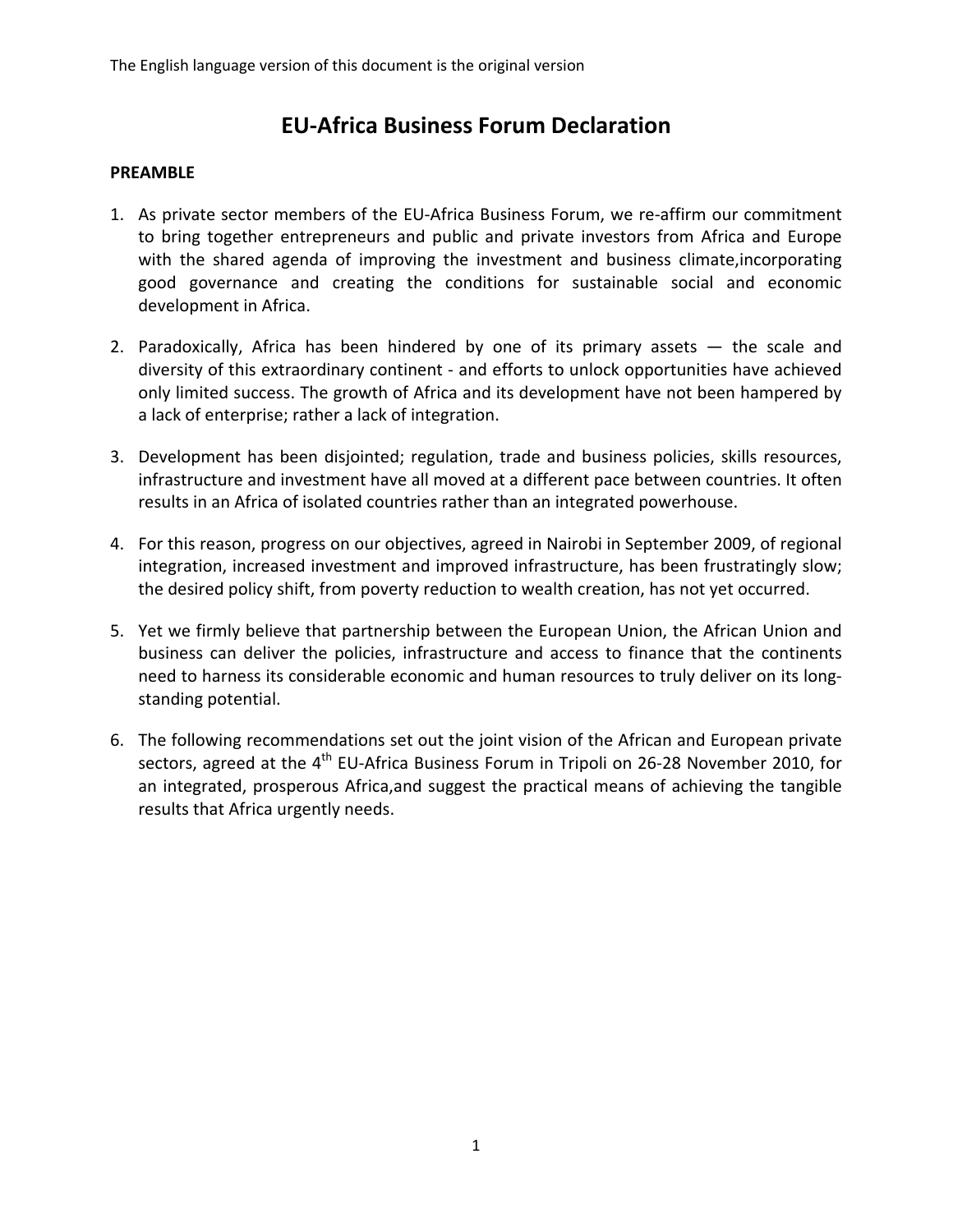# **EU-Africa Business Forum Declaration**

#### **PREAMBLE**

- 1. As private sector members of the EU-Africa Business Forum, we re-affirm our commitment to bring together entrepreneurs and public and private investors from Africa and Europe with the shared agenda of improving the investment and business climate,incorporating good governance and creating the conditions for sustainable social and economic development in Africa.
- 2. Paradoxically, Africa has been hindered by one of its primary assets  $-$  the scale and diversity of this extraordinary continent - and efforts to unlock opportunities have achieved only limited success. The growth of Africa and its development have not been hampered by a lack of enterprise; rather a lack of integration.
- 3. Development has been disjointed; regulation, trade and business policies, skills resources, infrastructure and investment have all moved at a different pace between countries. It often results in an Africa of isolated countries rather than an integrated powerhouse.
- 4. For this reason, progress on our objectives, agreed in Nairobi in September 2009, of regional integration, increased investment and improved infrastructure, has been frustratingly slow; the desired policy shift, from poverty reduction to wealth creation, has not yet occurred.
- 5. Yet we firmly believe that partnership between the European Union, the African Union and business can deliver the policies, infrastructure and access to finance that the continents need to harness its considerable economic and human resources to truly deliver on its longstanding potential.
- 6. The following recommendations set out the joint vision of the African and European private sectors, agreed at the  $4<sup>th</sup>$  EU-Africa Business Forum in Tripoli on 26-28 November 2010, for an integrated, prosperous Africa,and suggest the practical means of achieving the tangible results that Africa urgently needs.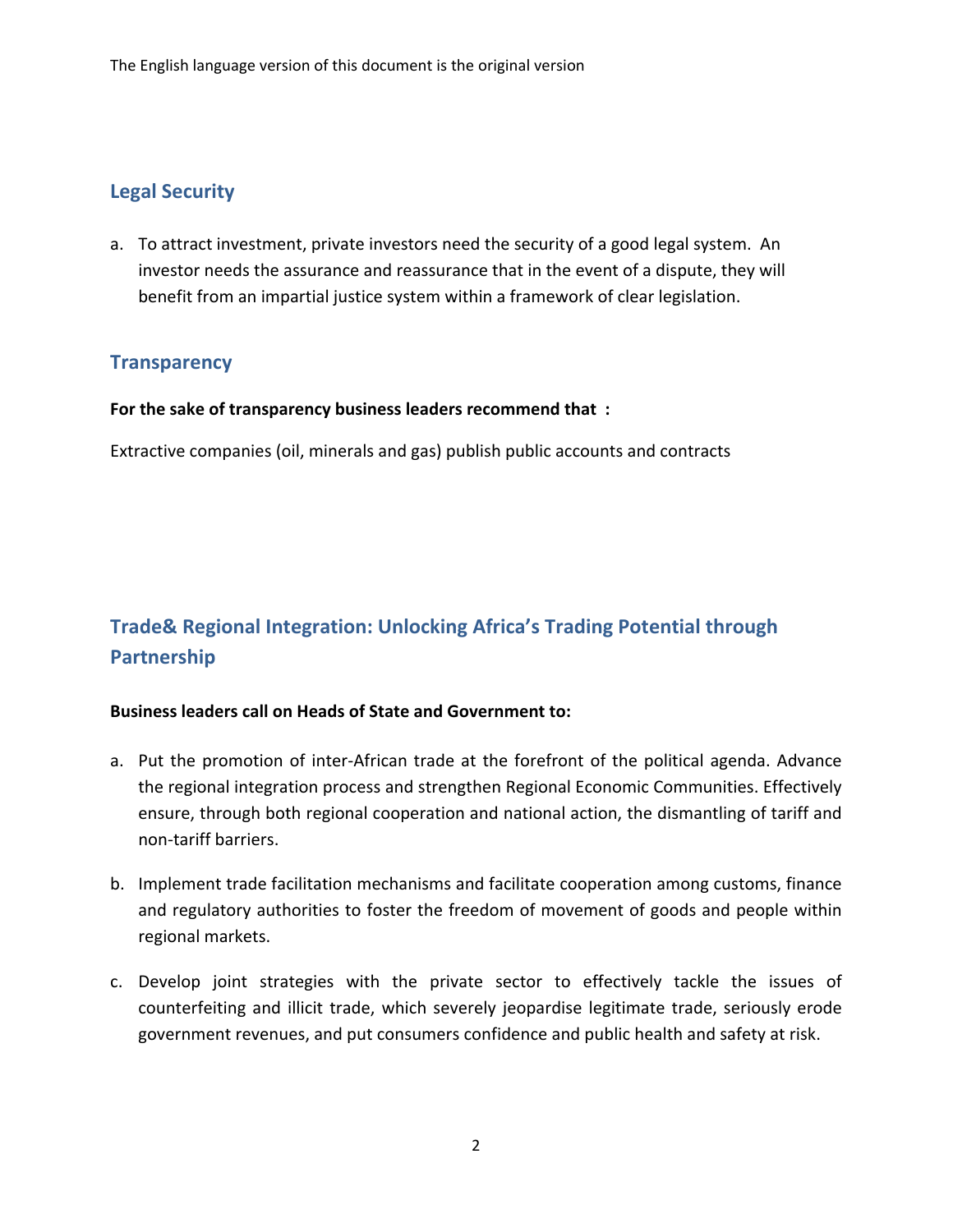## **Legal Security**

a. To attract investment, private investors need the security of a good legal system. An investor needs the assurance and reassurance that in the event of a dispute, they will benefit from an impartial justice system within a framework of clear legislation.

### **Transparency**

#### **For the sake of transparency business leaders recommend that :**

Extractive companies (oil, minerals and gas) publish public accounts and contracts

# **Trade& Regional Integration: Unlocking Africa's Trading Potential through Partnership**

#### **Business leaders call on Heads of State and Government to:**

- a. Put the promotion of inter-African trade at the forefront of the political agenda. Advance the regional integration process and strengthen Regional Economic Communities. Effectively ensure, through both regional cooperation and national action, the dismantling of tariff and non-tariff barriers.
- b. Implement trade facilitation mechanisms and facilitate cooperation among customs, finance and regulatory authorities to foster the freedom of movement of goods and people within regional markets.
- c. Develop joint strategies with the private sector to effectively tackle the issues of counterfeiting and illicit trade, which severely jeopardise legitimate trade, seriously erode government revenues, and put consumers confidence and public health and safety at risk.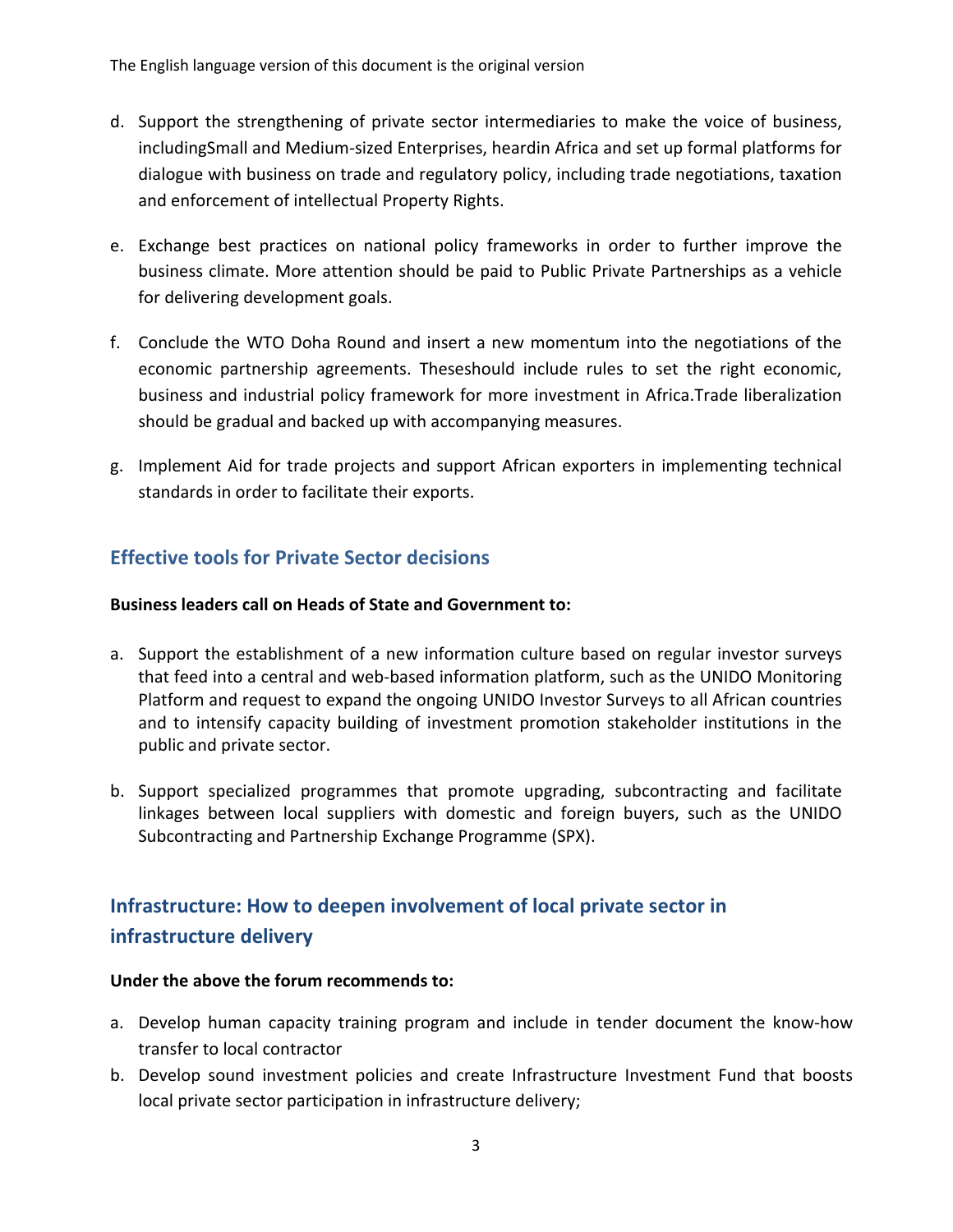- d. Support the strengthening of private sector intermediaries to make the voice of business, includingSmall and Medium-sized Enterprises, heardin Africa and set up formal platforms for dialogue with business on trade and regulatory policy, including trade negotiations, taxation and enforcement of intellectual Property Rights.
- e. Exchange best practices on national policy frameworks in order to further improve the business climate. More attention should be paid to Public Private Partnerships as a vehicle for delivering development goals.
- f. Conclude the WTO Doha Round and insert a new momentum into the negotiations of the economic partnership agreements. Theseshould include rules to set the right economic, business and industrial policy framework for more investment in Africa.Trade liberalization should be gradual and backed up with accompanying measures.
- g. Implement Aid for trade projects and support African exporters in implementing technical standards in order to facilitate their exports.

## **Effective tools for Private Sector decisions**

#### **Business leaders call on Heads of State and Government to:**

- a. Support the establishment of a new information culture based on regular investor surveys that feed into a central and web-based information platform, such as the UNIDO Monitoring Platform and request to expand the ongoing UNIDO Investor Surveys to all African countries and to intensify capacity building of investment promotion stakeholder institutions in the public and private sector.
- b. Support specialized programmes that promote upgrading, subcontracting and facilitate linkages between local suppliers with domestic and foreign buyers, such as the UNIDO Subcontracting and Partnership Exchange Programme (SPX).

# **Infrastructure: How to deepen involvement of local private sector in infrastructure delivery**

#### **Under the above the forum recommends to:**

- a. Develop human capacity training program and include in tender document the know-how transfer to local contractor
- b. Develop sound investment policies and create Infrastructure Investment Fund that boosts local private sector participation in infrastructure delivery;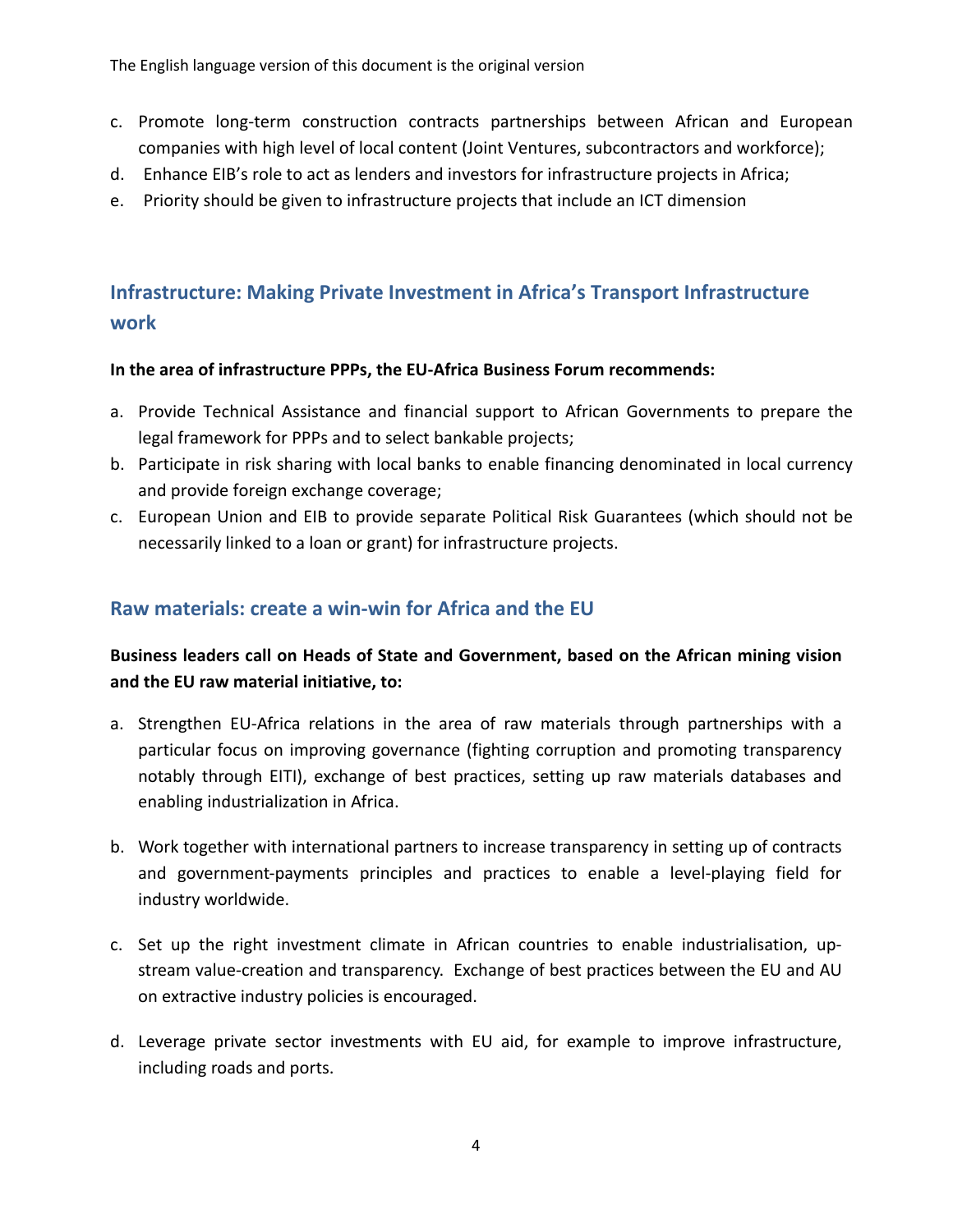The English language version of this document is the original version

- c. Promote long-term construction contracts partnerships between African and European companies with high level of local content (Joint Ventures, subcontractors and workforce);
- d. Enhance EIB's role to act as lenders and investors for infrastructure projects in Africa;
- e. Priority should be given to infrastructure projects that include an ICT dimension

# **Infrastructure: Making Private Investment in Africa's Transport Infrastructure work**

#### **In the area of infrastructure PPPs, the EU-Africa Business Forum recommends:**

- a. Provide Technical Assistance and financial support to African Governments to prepare the legal framework for PPPs and to select bankable projects;
- b. Participate in risk sharing with local banks to enable financing denominated in local currency and provide foreign exchange coverage;
- c. European Union and EIB to provide separate Political Risk Guarantees (which should not be necessarily linked to a loan or grant) for infrastructure projects.

## **Raw materials: create a win-win for Africa and the EU**

## **Business leaders call on Heads of State and Government, based on the African mining vision and the EU raw material initiative, to:**

- a. Strengthen EU-Africa relations in the area of raw materials through partnerships with a particular focus on improving governance (fighting corruption and promoting transparency notably through EITI), exchange of best practices, setting up raw materials databases and enabling industrialization in Africa.
- b. Work together with international partners to increase transparency in setting up of contracts and government-payments principles and practices to enable a level-playing field for industry worldwide.
- c. Set up the right investment climate in African countries to enable industrialisation, upstream value-creation and transparency. Exchange of best practices between the EU and AU on extractive industry policies is encouraged.
- d. Leverage private sector investments with EU aid, for example to improve infrastructure, including roads and ports.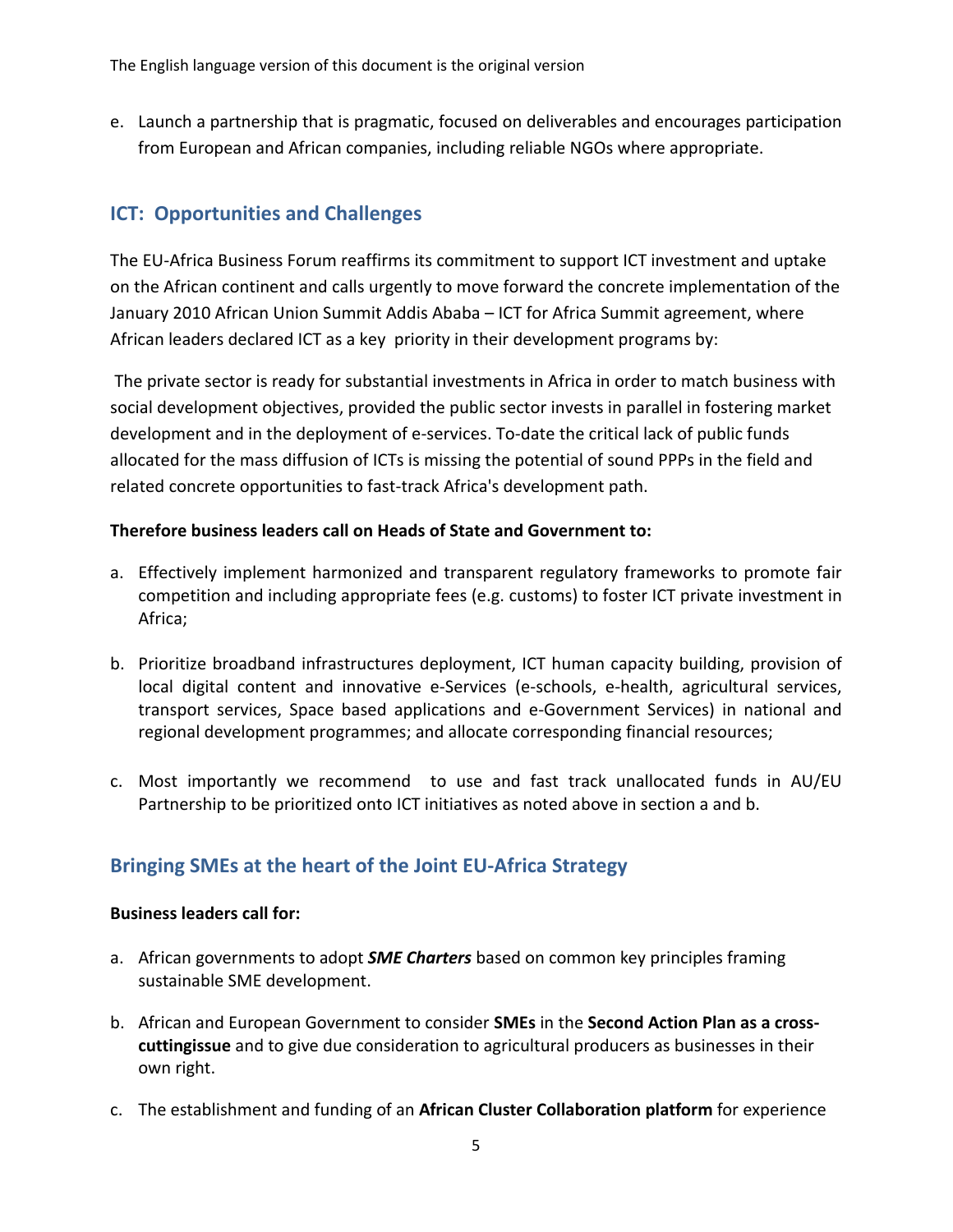e. Launch a partnership that is pragmatic, focused on deliverables and encourages participation from European and African companies, including reliable NGOs where appropriate.

## **ICT: Opportunities and Challenges**

The EU-Africa Business Forum reaffirms its commitment to support ICT investment and uptake on the African continent and calls urgently to move forward the concrete implementation of the January 2010 African Union Summit Addis Ababa – ICT for Africa Summit agreement, where African leaders declared ICT as a key priority in their development programs by:

 The private sector is ready for substantial investments in Africa in order to match business with social development objectives, provided the public sector invests in parallel in fostering market development and in the deployment of e-services. To-date the critical lack of public funds allocated for the mass diffusion of ICTs is missing the potential of sound PPPs in the field and related concrete opportunities to fast-track Africa's development path.

#### **Therefore business leaders call on Heads of State and Government to:**

- a. Effectively implement harmonized and transparent regulatory frameworks to promote fair competition and including appropriate fees (e.g. customs) to foster ICT private investment in Africa;
- b. Prioritize broadband infrastructures deployment, ICT human capacity building, provision of local digital content and innovative e-Services (e-schools, e-health, agricultural services, transport services, Space based applications and e-Government Services) in national and regional development programmes; and allocate corresponding financial resources;
- c. Most importantly we recommend to use and fast track unallocated funds in AU/EU Partnership to be prioritized onto ICT initiatives as noted above in section a and b.

## **Bringing SMEs at the heart of the Joint EU-Africa Strategy**

#### **Business leaders call for:**

- a. African governments to adopt *SME Charters* based on common key principles framing sustainable SME development.
- b. African and European Government to consider **SMEs** in the **Second Action Plan as a crosscuttingissue** and to give due consideration to agricultural producers as businesses in their own right.
- c. The establishment and funding of an **African Cluster Collaboration platform** for experience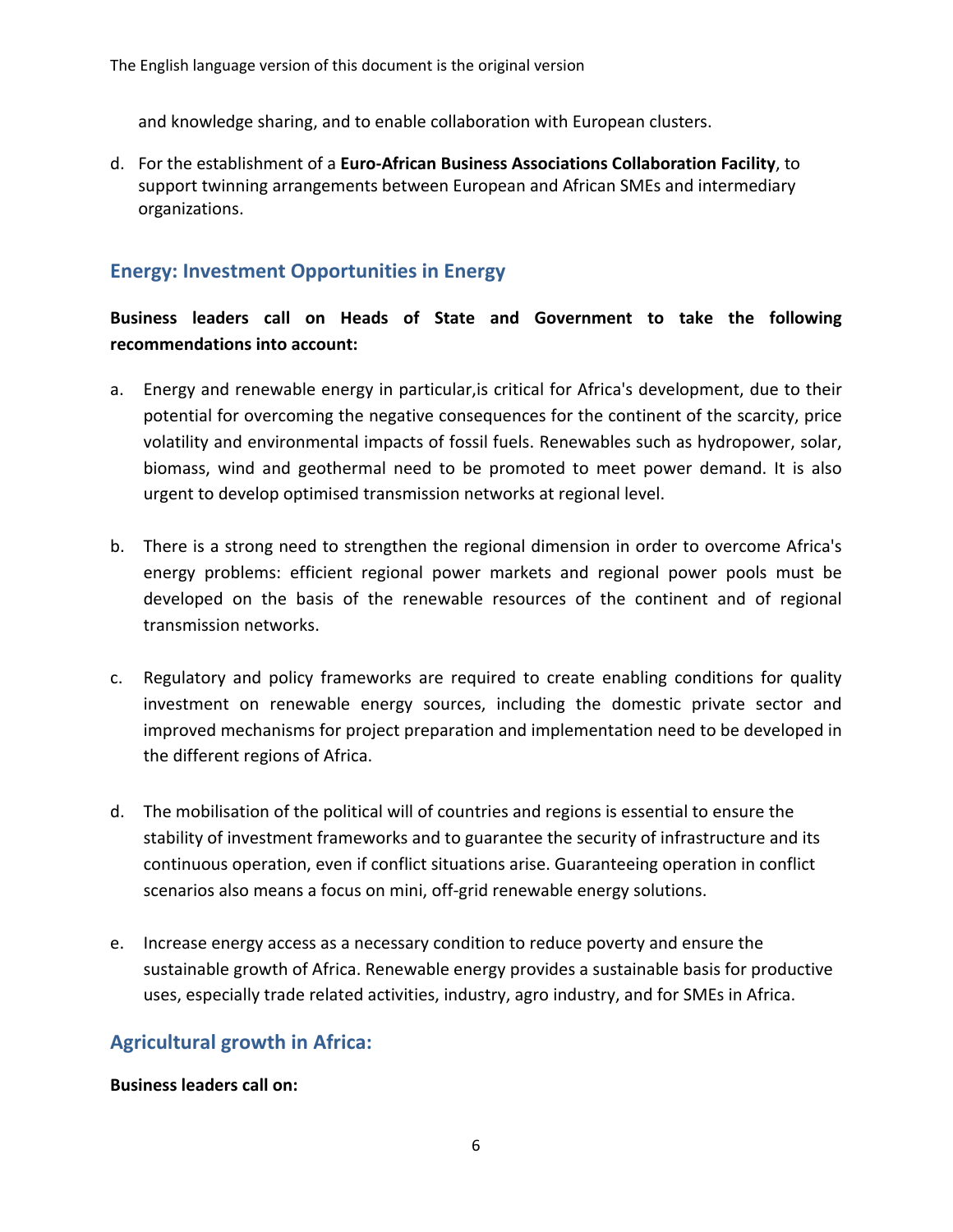and knowledge sharing, and to enable collaboration with European clusters.

d. For the establishment of a **Euro-African Business Associations Collaboration Facility**, to support twinning arrangements between European and African SMEs and intermediary organizations.

### **Energy: Investment Opportunities in Energy**

#### **Business leaders call on Heads of State and Government to take the following recommendations into account:**

- a. Energy and renewable energy in particular,is critical for Africa's development, due to their potential for overcoming the negative consequences for the continent of the scarcity, price volatility and environmental impacts of fossil fuels. Renewables such as hydropower, solar, biomass, wind and geothermal need to be promoted to meet power demand. It is also urgent to develop optimised transmission networks at regional level.
- b. There is a strong need to strengthen the regional dimension in order to overcome Africa's energy problems: efficient regional power markets and regional power pools must be developed on the basis of the renewable resources of the continent and of regional transmission networks.
- c. Regulatory and policy frameworks are required to create enabling conditions for quality investment on renewable energy sources, including the domestic private sector and improved mechanisms for project preparation and implementation need to be developed in the different regions of Africa.
- d. The mobilisation of the political will of countries and regions is essential to ensure the stability of investment frameworks and to guarantee the security of infrastructure and its continuous operation, even if conflict situations arise. Guaranteeing operation in conflict scenarios also means a focus on mini, off-grid renewable energy solutions.
- e. Increase energy access as a necessary condition to reduce poverty and ensure the sustainable growth of Africa. Renewable energy provides a sustainable basis for productive uses, especially trade related activities, industry, agro industry, and for SMEs in Africa.

### **Agricultural growth in Africa:**

#### **Business leaders call on:**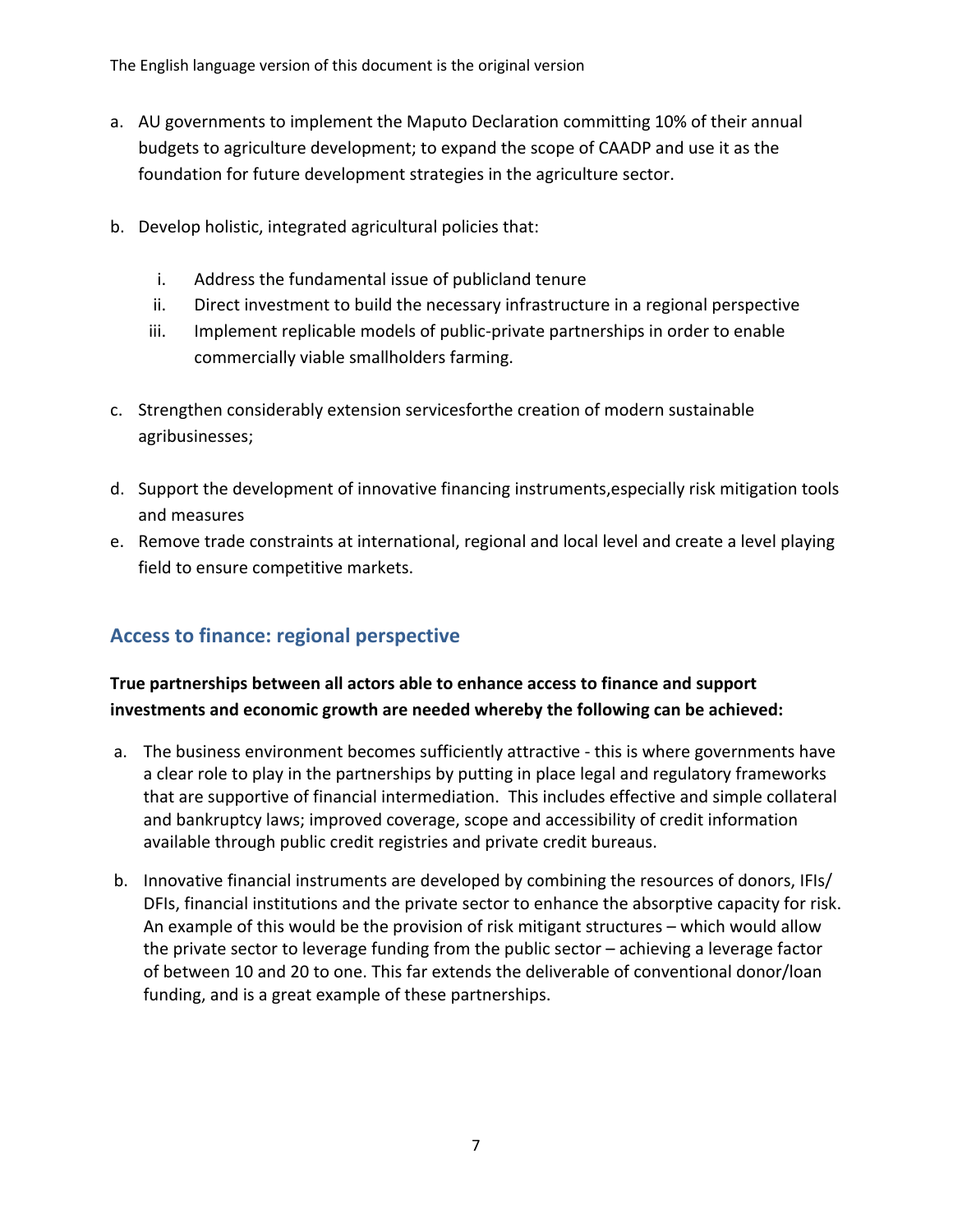The English language version of this document is the original version

- a. AU governments to implement the Maputo Declaration committing 10% of their annual budgets to agriculture development; to expand the scope of CAADP and use it as the foundation for future development strategies in the agriculture sector.
- b. Develop holistic, integrated agricultural policies that:
	- i. Address the fundamental issue of publicland tenure
	- ii. Direct investment to build the necessary infrastructure in a regional perspective
	- iii. Implement replicable models of public-private partnerships in order to enable commercially viable smallholders farming.
- c. Strengthen considerably extension servicesforthe creation of modern sustainable agribusinesses;
- d. Support the development of innovative financing instruments,especially risk mitigation tools and measures
- e. Remove trade constraints at international, regional and local level and create a level playing field to ensure competitive markets.

## **Access to finance: regional perspective**

### **True partnerships between all actors able to enhance access to finance and support investments and economic growth are needed whereby the following can be achieved:**

- a. The business environment becomes sufficiently attractive this is where governments have a clear role to play in the partnerships by putting in place legal and regulatory frameworks that are supportive of financial intermediation. This includes effective and simple collateral and bankruptcy laws; improved coverage, scope and accessibility of credit information available through public credit registries and private credit bureaus.
- b. Innovative financial instruments are developed by combining the resources of donors, IFIs/ DFIs, financial institutions and the private sector to enhance the absorptive capacity for risk. An example of this would be the provision of risk mitigant structures – which would allow the private sector to leverage funding from the public sector – achieving a leverage factor of between 10 and 20 to one. This far extends the deliverable of conventional donor/loan funding, and is a great example of these partnerships.